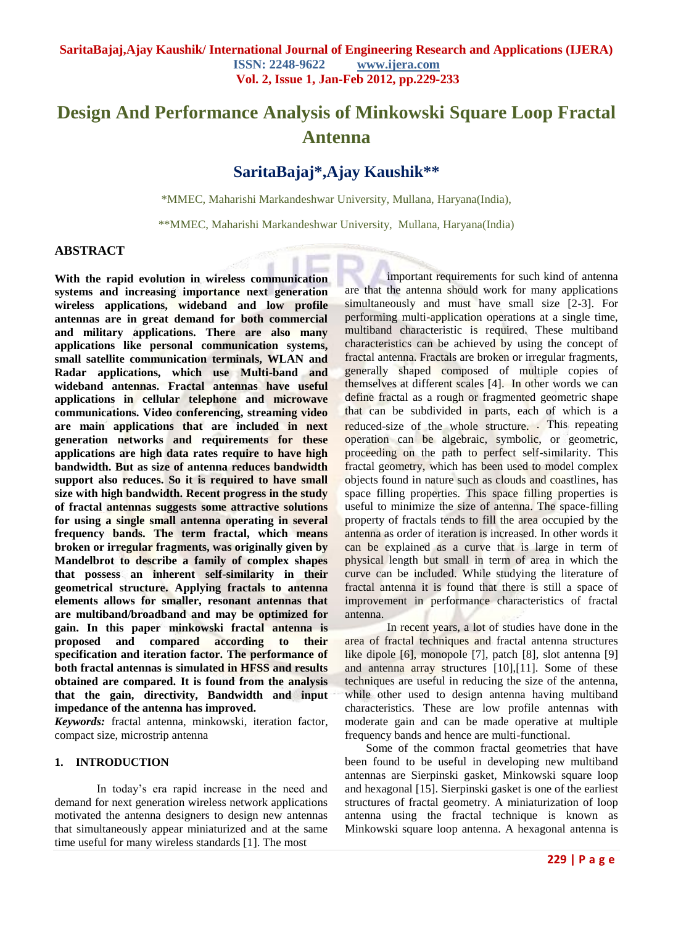# **Design And Performance Analysis of Minkowski Square Loop Fractal Antenna**

# **SaritaBajaj\*,Ajay Kaushik\*\***

\*MMEC, Maharishi Markandeshwar University, Mullana, Haryana(India),

\*\*MMEC, Maharishi Markandeshwar University, Mullana, Haryana(India)

# **ABSTRACT**

**With the rapid evolution in wireless communication systems and increasing importance next generation wireless applications, wideband and low profile antennas are in great demand for both commercial and military applications. There are also many applications like personal communication systems, small satellite communication terminals, WLAN and Radar applications, which use Multi-band and wideband antennas. Fractal antennas have useful applications in cellular telephone and microwave communications. Video conferencing, streaming video are main applications that are included in next generation networks and requirements for these applications are high data rates require to have high bandwidth. But as size of antenna reduces bandwidth support also reduces. So it is required to have small size with high bandwidth. Recent progress in the study of fractal antennas suggests some attractive solutions for using a single small antenna operating in several frequency bands. The term fractal, which means broken or irregular fragments, was originally given by Mandelbrot to describe a family of complex shapes that possess an inherent self-similarity in their geometrical structure. Applying fractals to antenna elements allows for smaller, resonant antennas that are multiband/broadband and may be optimized for gain. In this paper minkowski fractal antenna is proposed and compared according to their specification and iteration factor. The performance of both fractal antennas is simulated in HFSS and results obtained are compared. It is found from the analysis that the gain, directivity, Bandwidth and input impedance of the antenna has improved.** 

*Keywords:* fractal antenna, minkowski, iteration factor, compact size, microstrip antenna

### **1. INTRODUCTION**

In today's era rapid increase in the need and demand for next generation wireless network applications motivated the antenna designers to design new antennas that simultaneously appear miniaturized and at the same time useful for many wireless standards [1]. The most

important requirements for such kind of antenna are that the antenna should work for many applications simultaneously and must have small size [2-3]. For performing multi-application operations at a single time, multiband characteristic is required. These multiband characteristics can be achieved by using the concept of fractal antenna. Fractals are broken or irregular fragments, generally shaped composed of multiple copies of themselves at different scales [4]. In other words we can define fractal as a rough or fragmented geometric shape that can be subdivided in parts, each of which is a reduced-size of the whole structure. This repeating operation can be algebraic, symbolic, or geometric, proceeding on the path to perfect self-similarity. This fractal geometry, which has been used to model complex objects found in nature such as clouds and coastlines, has space filling properties. This space filling properties is useful to minimize the size of antenna. The space-filling property of fractals tends to fill the area occupied by the antenna as order of iteration is increased. In other words it can be explained as a curve that is large in term of physical length but small in term of area in which the curve can be included. While studying the literature of fractal antenna it is found that there is still a space of improvement in performance characteristics of fractal antenna.

In recent years, a lot of studies have done in the area of fractal techniques and fractal antenna structures like dipole [6], monopole [7], patch [8], slot antenna [9] and antenna array structures [10],[11]. Some of these techniques are useful in reducing the size of the antenna, while other used to design antenna having multiband characteristics. These are low profile antennas with moderate gain and can be made operative at multiple frequency bands and hence are multi-functional.

Some of the common fractal geometries that have been found to be useful in developing new multiband antennas are Sierpinski gasket, Minkowski square loop and hexagonal [15]. Sierpinski gasket is one of the earliest structures of fractal geometry. A miniaturization of loop antenna using the fractal technique is known as Minkowski square loop antenna. A hexagonal antenna is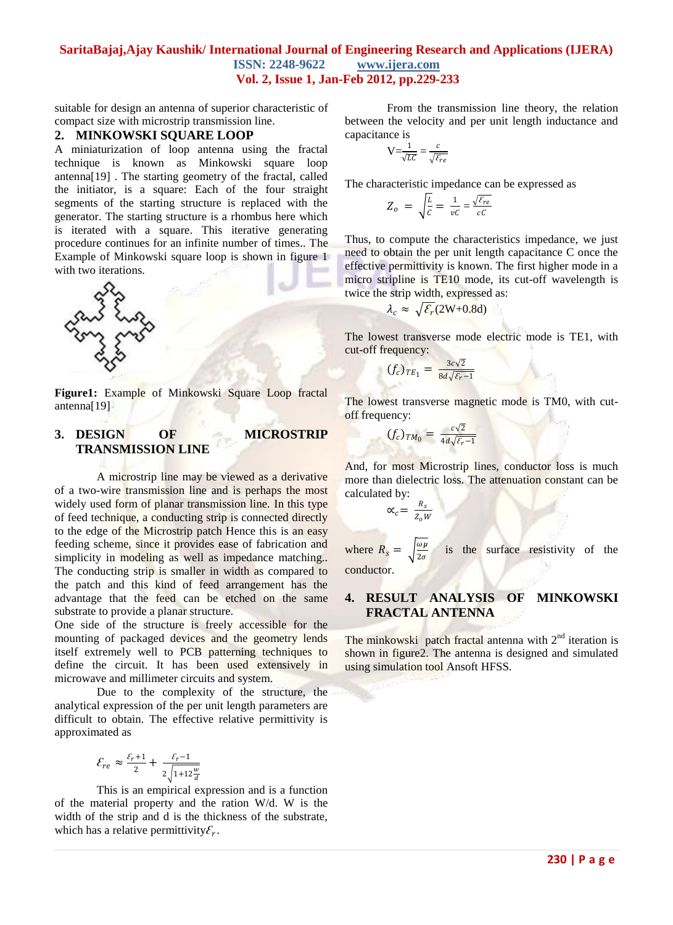suitable for design an antenna of superior characteristic of compact size with microstrip transmission line.

#### **2. MINKOWSKI SQUARE LOOP**

A miniaturization of loop antenna using the fractal technique is known as Minkowski square loop antenna[19] . The starting geometry of the fractal, called the initiator, is a square: Each of the four straight segments of the starting structure is replaced with the generator. The starting structure is a rhombus here which is iterated with a square. This iterative generating procedure continues for an infinite number of times.. The Example of Minkowski square loop is shown in figure 1 with two iterations.



**Figure1:** Example of Minkowski Square Loop fractal antenna[19]

#### **3. DESIGN OF MICROSTRIP TRANSMISSION LINE**

A microstrip line may be viewed as a derivative of a two-wire transmission line and is perhaps the most widely used form of planar transmission line. In this type of feed technique, a conducting strip is connected directly to the edge of the Microstrip patch Hence this is an easy feeding scheme, since it provides ease of fabrication and simplicity in modeling as well as impedance matching. The conducting strip is smaller in width as compared to the patch and this kind of feed arrangement has the advantage that the feed can be etched on the same substrate to provide a planar structure.

One side of the structure is freely accessible for the mounting of packaged devices and the geometry lends itself extremely well to PCB patterning techniques to define the circuit. It has been used extensively in microwave and millimeter circuits and system.

Due to the complexity of the structure, the analytical expression of the per unit length parameters are difficult to obtain. The effective relative permittivity is approximated as

$$
\mathcal{E}_{re} \approx \frac{\varepsilon_{r+1}}{2} + \frac{\varepsilon_{r-1}}{2\sqrt{1+12\frac{w}{d}}}
$$

This is an empirical expression and is a function of the material property and the ration W/d. W is the width of the strip and d is the thickness of the substrate, which has a relative permittivity $\mathcal{E}_r$ .

From the transmission line theory, the relation between the velocity and per unit length inductance and capacitance is

$$
V = \frac{1}{\sqrt{LC}} = \frac{c}{\sqrt{\varepsilon_{re}}}
$$

The characteristic impedance can be expressed as

$$
Z_o = \sqrt{\frac{L}{c}} = \frac{1}{\nu c} = \frac{\sqrt{\varepsilon_{re}}}{c c}
$$

Thus, to compute the characteristics impedance, we just need to obtain the per unit length capacitance C once the effective permittivity is known. The first higher mode in a micro stripline is TE10 mode, its cut-off wavelength is twice the strip width, expressed as:

$$
\lambda_c \approx \sqrt{\mathcal{E}_r(2W + 0.8d)}
$$

The lowest transverse mode electric mode is TE1, with cut-off frequency:

$$
(f_c)_{TE_1} = \frac{3c\sqrt{2}}{8d\sqrt{\varepsilon_r - 1}}
$$

The lowest transverse magnetic mode is TM0, with cutoff frequency:

$$
(f_c)_{TM_0} = \frac{c\sqrt{2}}{4d\sqrt{\varepsilon_r - 1}}
$$

And, for most Microstrip lines, conductor loss is much more than dielectric loss. The attenuation constant can be calculated by:

$$
\alpha_c = \frac{R_s}{Z_o W}
$$

where  $R_s =$ *µ*  $2\sigma$  is the surface resistivity of the conductor.

#### **4. RESULT ANALYSIS OF MINKOWSKI FRACTAL ANTENNA**

The minkowski patch fractal antenna with  $2<sup>nd</sup>$  iteration is shown in figure2. The antenna is designed and simulated using simulation tool Ansoft HFSS.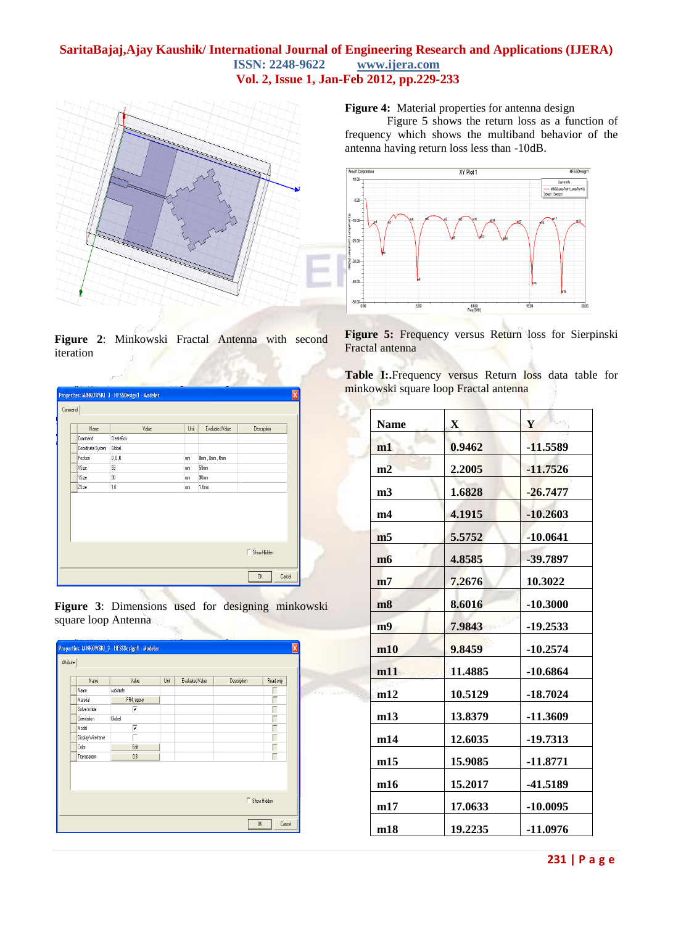

**Figure 2**: Minkowski Fractal Antenna with second iteration

**SUBJET** 

|         |                   | Properties: MINKOWSKI_3 - HFSSDesign1 - Modeler |      |                 |                    | ⊠      |
|---------|-------------------|-------------------------------------------------|------|-----------------|--------------------|--------|
| Command |                   |                                                 |      |                 |                    |        |
|         | Name              | Value                                           | Unit | Evaluated Value | Description        |        |
|         | Command           | CreateBox                                       |      |                 |                    |        |
|         | Coordinate System | Global                                          |      |                 |                    |        |
|         | Position          | 0,0,0                                           | mm   | Omm, Omm, Omm   |                    |        |
|         | XSize             | 59                                              | mm   | 59mm            |                    |        |
|         | YSize             | 90                                              | mm   | 90mm            |                    |        |
|         | <b>ZSize</b>      | 1.6                                             | mm   | 1.6mm           |                    |        |
|         |                   |                                                 |      |                 |                    |        |
|         |                   |                                                 |      |                 |                    |        |
|         |                   |                                                 |      |                 |                    |        |
|         |                   |                                                 |      |                 | $\Box$ Show Hidden |        |
|         |                   |                                                 |      |                 | 0K                 | Cancel |

**Figure 3**: Dimensions used for designing minkowski square loop Antenna



**Figure 4:** Material properties for antenna design

Figure 5 shows the return loss as a function of frequency which shows the multiband behavior of the antenna having return loss less than -10dB.



**Figure 5:** Frequency versus Return loss for Sierpinski Fractal antenna

Table I: Frequency versus Return loss data table for minkowski square loop Fractal antenna

| <b>Name</b>    | $\mathbf{X}$ | Y          |
|----------------|--------------|------------|
| m1             | 0.9462       | -11.5589   |
| m2             | 2.2005       | $-11.7526$ |
| m <sub>3</sub> | 1.6828       | $-26.7477$ |
| m4             | 4.1915       | $-10.2603$ |
| m <sub>5</sub> | 5.5752       | $-10.0641$ |
| m6             | 4.8585       | -39.7897   |
| m7             | 7.2676       | 10.3022    |
| m8             | 8.6016       | $-10.3000$ |
| m <sub>9</sub> | 7.9843       | $-19.2533$ |
| m10            | 9.8459       | $-10.2574$ |
| m11            | 11.4885      | $-10.6864$ |
| m12            | 10.5129      | $-18.7024$ |
| m13            | 13.8379      | -11.3609   |
| m14            | 12.6035      | -19.7313   |
| m15            | 15.9085      | -11.8771   |
| m16            | 15.2017      | -41.5189   |
| m17            | 17.0633      | $-10.0095$ |
| m18            | 19.2235      | -11.0976   |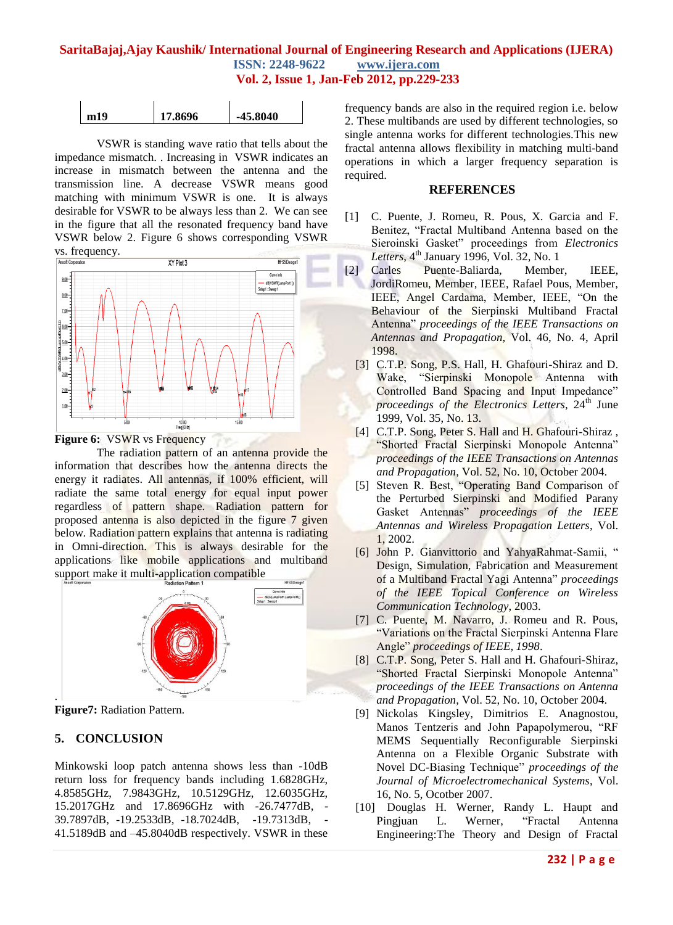|  | m19 | 17.8696 | -45.8040 |
|--|-----|---------|----------|
|--|-----|---------|----------|

VSWR is standing wave ratio that tells about the impedance mismatch. . Increasing in VSWR indicates an increase in mismatch between the antenna and the transmission line. A decrease VSWR means good matching with minimum VSWR is one. It is always desirable for VSWR to be always less than 2. We can see in the figure that all the resonated frequency band have VSWR below 2. Figure 6 shows corresponding VSWR VS. frequency.



**Figure 6:** VSWR vs Frequency

The radiation pattern of an antenna provide the information that describes how the antenna directs the energy it radiates. All antennas, if 100% efficient, will radiate the same total energy for equal input power regardless of pattern shape. Radiation pattern for proposed antenna is also depicted in the figure 7 given below. Radiation pattern explains that antenna is radiating in Omni-direction. This is always desirable for the applications like mobile applications and multiband support make it multi-application compatible



**Figure7:** Radiation Pattern.

# **5. CONCLUSION**

Minkowski loop patch antenna shows less than -10dB return loss for frequency bands including 1.6828GHz, 4.8585GHz, 7.9843GHz, 10.5129GHz, 12.6035GHz, 15.2017GHz and 17.8696GHz with -26.7477dB, - 39.7897dB, -19.2533dB, -18.7024dB, -19.7313dB, - 41.5189dB and –45.8040dB respectively. VSWR in these

frequency bands are also in the required region i.e. below 2. These multibands are used by different technologies, so single antenna works for different technologies.This new fractal antenna allows flexibility in matching multi-band operations in which a larger frequency separation is required.

#### **REFERENCES**

- [1] C. Puente, J. Romeu, R. Pous, X. Garcia and F. Benitez, "Fractal Multiband Antenna based on the Sieroinski Gasket" proceedings from *Electronics*  Letters, 4<sup>th</sup> January 1996, Vol. 32, No. 1
- [2] Carles Puente-Baliarda, Member, IEEE, JordiRomeu, Member, IEEE, Rafael Pous, Member, IEEE, Angel Cardama, Member, IEEE, "On the Behaviour of the Sierpinski Multiband Fractal Antenna" *proceedings of the IEEE Transactions on Antennas and Propagation*, Vol. 46, No. 4, April 1998.
	- [3] C.T.P. Song, P.S. Hall, H. Ghafouri-Shiraz and D. Wake, "Sierpinski Monopole Antenna with Controlled Band Spacing and Input Impedance" *proceedings of the Electronics Letters*, 24<sup>th</sup> June 1999, Vol. 35, No. 13.
	- [4] C.T.P. Song, Peter S. Hall and H. Ghafouri-Shiraz, "Shorted Fractal Sierpinski Monopole Antenna" *proceedings of the IEEE Transactions on Antennas and Propagation*, Vol. 52, No. 10, October 2004.
	- [5] Steven R. Best, "Operating Band Comparison of the Perturbed Sierpinski and Modified Parany Gasket Antennas" *proceedings of the IEEE Antennas and Wireless Propagation Letters*, Vol. 1, 2002.
	- [6] John P. Gianvittorio and YahyaRahmat-Samii, " Design, Simulation, Fabrication and Measurement of a Multiband Fractal Yagi Antenna" *proceedings of the IEEE Topical Conference on Wireless Communication Technology*, 2003.
	- [7] C. Puente, M. Navarro, J. Romeu and R. Pous, "Variations on the Fractal Sierpinski Antenna Flare Angle" *proceedings of IEEE, 1998*.
	- [8] C.T.P. Song, Peter S. Hall and H. Ghafouri-Shiraz, "Shorted Fractal Sierpinski Monopole Antenna" *proceedings of the IEEE Transactions on Antenna and Propagation*, Vol. 52, No. 10, October 2004.
	- [9] Nickolas Kingsley, Dimitrios E. Anagnostou, Manos Tentzeris and John Papapolymerou, "RF MEMS Sequentially Reconfigurable Sierpinski Antenna on a Flexible Organic Substrate with Novel DC-Biasing Technique" *proceedings of the Journal of Microelectromechanical Systems*, Vol. 16, No. 5, Ocotber 2007.
	- [10] Douglas H. Werner, Randy L. Haupt and Pingjuan L. Werner, "Fractal Antenna Engineering:The Theory and Design of Fractal